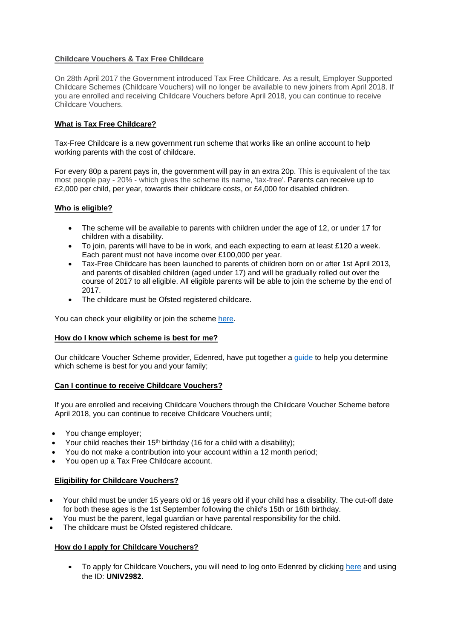# **Childcare Vouchers & Tax Free Childcare**

On 28th April 2017 the Government introduced Tax Free Childcare. As a result, Employer Supported Childcare Schemes (Childcare Vouchers) will no longer be available to new joiners from April 2018. If you are enrolled and receiving Childcare Vouchers before April 2018, you can continue to receive Childcare Vouchers.

# **What is Tax Free Childcare?**

Tax-Free Childcare is a new government run scheme that works like an online account to help working parents with the cost of childcare.

For every 80p a parent pays in, the government will pay in an extra 20p. This is equivalent of the tax most people pay - 20% - which gives the scheme its name, 'tax-free'. Parents can receive up to £2,000 per child, per year, towards their childcare costs, or £4,000 for disabled children.

### **Who is eligible?**

- The scheme will be available to parents with children under the age of 12, or under 17 for children with a disability.
- To join, parents will have to be in work, and each expecting to earn at least £120 a week. Each parent must not have income over £100,000 per year.
- Tax-Free Childcare has been launched to parents of children born on or after 1st April 2013, and parents of disabled children (aged under 17) and will be gradually rolled out over the course of 2017 to all eligible. All eligible parents will be able to join the scheme by the end of 2017.
- The childcare must be Ofsted registered childcare.

You can check your eligibility or join the scheme [here.](https://childcare-support.tax.service.gov.uk/par/app/applynow)

### **How do I know which scheme is best for me?**

Our childcare Voucher Scheme provider, Edenred, have put together [a guide](https://www.edenred.co.uk/Global/Comms%20Pages/CCV/Edenred-Parent) to help you determine which scheme is best for you and your family;

### **Can I continue to receive Childcare Vouchers?**

If you are enrolled and receiving Childcare Vouchers through the Childcare Voucher Scheme before April 2018, you can continue to receive Childcare Vouchers until;

- You change employer;
- Your child reaches their 15<sup>th</sup> birthday (16 for a child with a disability);
- You do not make a contribution into your account within a 12 month period;
- You open up a Tax Free Childcare account.

### **Eligibility for Childcare Vouchers?**

- Your child must be under 15 years old or 16 years old if your child has a disability. The cut-off date for both these ages is the 1st September following the child's 15th or 16th birthday.
- You must be the parent, legal guardian or have parental responsibility for the child.
- The childcare must be Ofsted registered childcare.

### **How do I apply for Childcare Vouchers?**

• To apply for Childcare Vouchers, you will need to log onto Edenred by clicking [here](https://www.mychildcarevouchers.co.uk/ChildCareVoucher/EnrolHere/) and using the ID: **UNIV2982**.